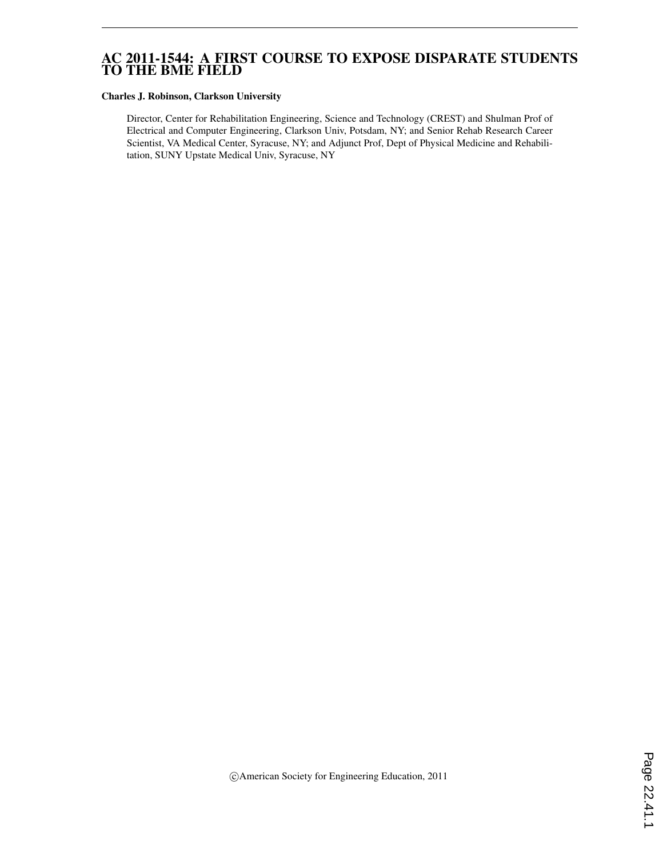# AC 2011-1544: A FIRST COURSE TO EXPOSE DISPARATE STUDENTS TO THE BME FIELD

#### Charles J. Robinson, Clarkson University

Director, Center for Rehabilitation Engineering, Science and Technology (CREST) and Shulman Prof of Electrical and Computer Engineering, Clarkson Univ, Potsdam, NY; and Senior Rehab Research Career Scientist, VA Medical Center, Syracuse, NY; and Adjunct Prof, Dept of Physical Medicine and Rehabilitation, SUNY Upstate Medical Univ, Syracuse, NY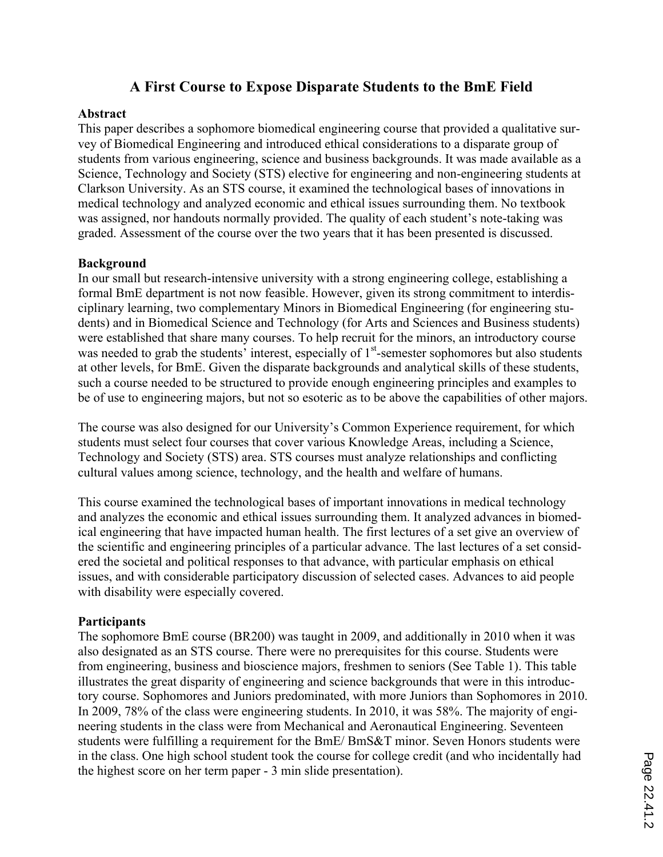# **A First Course to Expose Disparate Students to the BmE Field**

### **Abstract**

This paper describes a sophomore biomedical engineering course that provided a qualitative survey of Biomedical Engineering and introduced ethical considerations to a disparate group of students from various engineering, science and business backgrounds. It was made available as a Science, Technology and Society (STS) elective for engineering and non-engineering students at Clarkson University. As an STS course, it examined the technological bases of innovations in medical technology and analyzed economic and ethical issues surrounding them. No textbook was assigned, nor handouts normally provided. The quality of each student's note-taking was graded. Assessment of the course over the two years that it has been presented is discussed.

### **Background**

In our small but research-intensive university with a strong engineering college, establishing a formal BmE department is not now feasible. However, given its strong commitment to interdisciplinary learning, two complementary Minors in Biomedical Engineering (for engineering students) and in Biomedical Science and Technology (for Arts and Sciences and Business students) were established that share many courses. To help recruit for the minors, an introductory course was needed to grab the students' interest, especially of  $1<sup>st</sup>$ -semester sophomores but also students at other levels, for BmE. Given the disparate backgrounds and analytical skills of these students, such a course needed to be structured to provide enough engineering principles and examples to be of use to engineering majors, but not so esoteric as to be above the capabilities of other majors.

The course was also designed for our University's Common Experience requirement, for which students must select four courses that cover various Knowledge Areas, including a Science, Technology and Society (STS) area. STS courses must analyze relationships and conflicting cultural values among science, technology, and the health and welfare of humans.

This course examined the technological bases of important innovations in medical technology and analyzes the economic and ethical issues surrounding them. It analyzed advances in biomedical engineering that have impacted human health. The first lectures of a set give an overview of the scientific and engineering principles of a particular advance. The last lectures of a set considered the societal and political responses to that advance, with particular emphasis on ethical issues, and with considerable participatory discussion of selected cases. Advances to aid people with disability were especially covered.

### **Participants**

The sophomore BmE course (BR200) was taught in 2009, and additionally in 2010 when it was also designated as an STS course. There were no prerequisites for this course. Students were from engineering, business and bioscience majors, freshmen to seniors (See Table 1). This table illustrates the great disparity of engineering and science backgrounds that were in this introductory course. Sophomores and Juniors predominated, with more Juniors than Sophomores in 2010. In 2009, 78% of the class were engineering students. In 2010, it was 58%. The majority of engineering students in the class were from Mechanical and Aeronautical Engineering. Seventeen students were fulfilling a requirement for the BmE/ BmS&T minor. Seven Honors students were in the class. One high school student took the course for college credit (and who incidentally had the highest score on her term paper - 3 min slide presentation).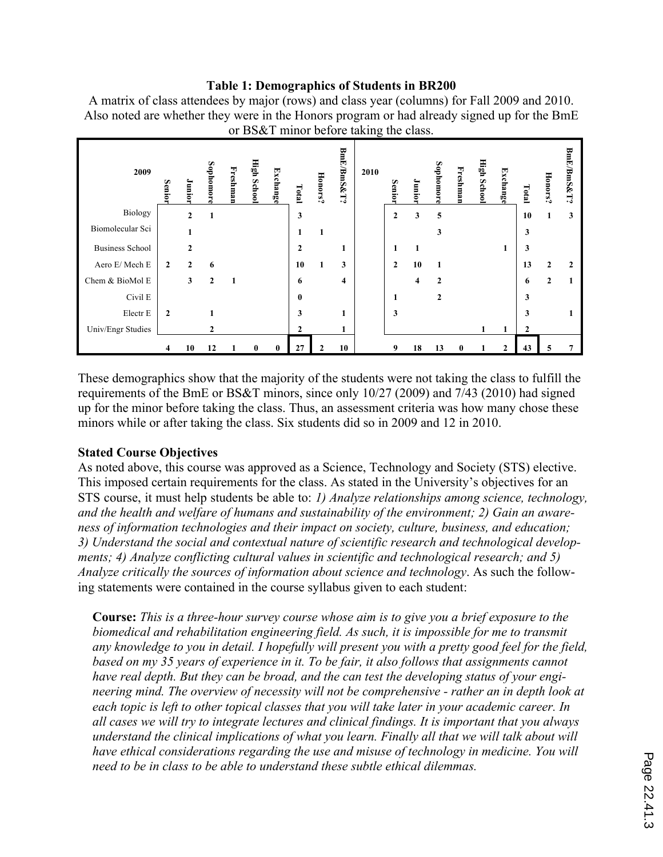# **Table 1: Demographics of Students in BR200**

| or BS&T minor before taking the class. |              |              |              |          |             |          |              |         |                         |      |              |      |              |          |             |          |              |              |            |
|----------------------------------------|--------------|--------------|--------------|----------|-------------|----------|--------------|---------|-------------------------|------|--------------|------|--------------|----------|-------------|----------|--------------|--------------|------------|
| 2009                                   | <b>Senio</b> | Junior       | Sophomore    | Freshman | High School | Exchange | Total        | Honors? | BmE/BmS&T?              | 2010 | Senior       | loin | Sophomore    | Freshman | High School | Exchange | Total        | Honors?      | BmE/BmS&T? |
| Biology                                |              | $\mathbf{2}$ | 1            |          |             |          | 3            |         |                         |      | $\mathbf{2}$ | 3    | 5            |          |             |          | 10           |              | 3          |
| Biomolecular Sci                       |              |              |              |          |             |          |              |         |                         |      |              |      | 3            |          |             |          | 3            |              |            |
| <b>Business School</b>                 |              | $\mathbf{2}$ |              |          |             |          | $\mathbf{2}$ |         | л                       |      | 1            | 1    |              |          |             | -        | 3            |              |            |
| Aero E/ Mech E                         | $\mathbf{2}$ | $\mathbf{2}$ | 6            |          |             |          | 10           |         | 3                       |      | $\mathbf{2}$ | 10   | 1            |          |             |          | 13           | 2            |            |
| Chem & BioMol E                        |              | 3            | $\mathbf{2}$ |          |             |          | 6            |         | $\overline{\mathbf{4}}$ |      |              | 4    | $\mathbf{2}$ |          |             |          | 6            | $\mathbf{2}$ |            |
| Civil E                                |              |              |              |          |             |          | $\bf{0}$     |         |                         |      | 1            |      | $\mathbf{2}$ |          |             |          | 3            |              |            |
| Electr E                               | $\mathbf{2}$ |              |              |          |             |          | 3            |         |                         |      | 3            |      |              |          |             |          | 3            |              |            |
| Univ/Engr Studies                      |              |              | $\mathbf{2}$ |          |             |          | $\mathbf{2}$ |         |                         |      |              |      |              |          |             | 1        | $\mathbf{2}$ |              |            |
|                                        | 4            | 10           | 12           |          | $\bf{0}$    | $\bf{0}$ | 27           |         | 10                      |      | 9            | 18   | 13           | 0        |             | 2        | 43           | 5            |            |

A matrix of class attendees by major (rows) and class year (columns) for Fall 2009 and 2010. Also noted are whether they were in the Honors program or had already signed up for the BmE

These demographics show that the majority of the students were not taking the class to fulfill the requirements of the BmE or BS&T minors, since only 10/27 (2009) and 7/43 (2010) had signed up for the minor before taking the class. Thus, an assessment criteria was how many chose these minors while or after taking the class. Six students did so in 2009 and 12 in 2010.

# **Stated Course Objectives**

As noted above, this course was approved as a Science, Technology and Society (STS) elective. This imposed certain requirements for the class. As stated in the University's objectives for an STS course, it must help students be able to: *1) Analyze relationships among science, technology, and the health and welfare of humans and sustainability of the environment; 2) Gain an awareness of information technologies and their impact on society, culture, business, and education; 3) Understand the social and contextual nature of scientific research and technological developments; 4) Analyze conflicting cultural values in scientific and technological research; and 5) Analyze critically the sources of information about science and technology*. As such the following statements were contained in the course syllabus given to each student:

**Course:** *This is a three-hour survey course whose aim is to give you a brief exposure to the biomedical and rehabilitation engineering field. As such, it is impossible for me to transmit any knowledge to you in detail. I hopefully will present you with a pretty good feel for the field, based on my 35 years of experience in it. To be fair, it also follows that assignments cannot have real depth. But they can be broad, and the can test the developing status of your engineering mind. The overview of necessity will not be comprehensive - rather an in depth look at each topic is left to other topical classes that you will take later in your academic career. In all cases we will try to integrate lectures and clinical findings. It is important that you always understand the clinical implications of what you learn. Finally all that we will talk about will have ethical considerations regarding the use and misuse of technology in medicine. You will need to be in class to be able to understand these subtle ethical dilemmas.*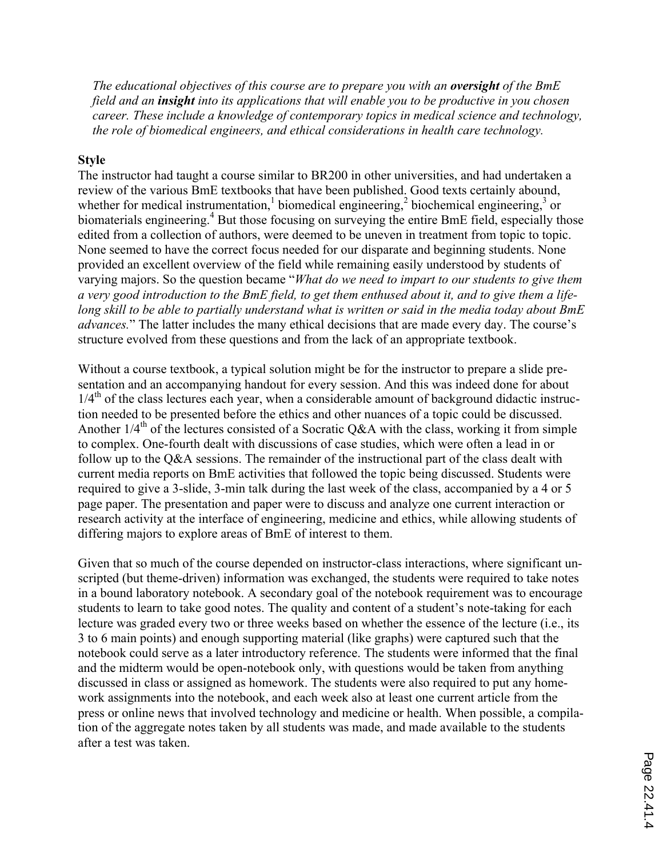*The educational objectives of this course are to prepare you with an oversight of the BmE field and an insight into its applications that will enable you to be productive in you chosen career. These include a knowledge of contemporary topics in medical science and technology, the role of biomedical engineers, and ethical considerations in health care technology.*

## **Style**

The instructor had taught a course similar to BR200 in other universities, and had undertaken a review of the various BmE textbooks that have been published. Good texts certainly abound, whether for medical instrumentation,<sup>1</sup> biomedical engineering,<sup>2</sup> biochemical engineering,<sup>3</sup> or biomaterials engineering.<sup>4</sup> But those focusing on surveying the entire BmE field, especially those edited from a collection of authors, were deemed to be uneven in treatment from topic to topic. None seemed to have the correct focus needed for our disparate and beginning students. None provided an excellent overview of the field while remaining easily understood by students of varying majors. So the question became "*What do we need to impart to our students to give them a very good introduction to the BmE field, to get them enthused about it, and to give them a lifelong skill to be able to partially understand what is written or said in the media today about BmE advances.*" The latter includes the many ethical decisions that are made every day. The course's structure evolved from these questions and from the lack of an appropriate textbook.

Without a course textbook, a typical solution might be for the instructor to prepare a slide presentation and an accompanying handout for every session. And this was indeed done for about  $1/4<sup>th</sup>$  of the class lectures each year, when a considerable amount of background didactic instruction needed to be presented before the ethics and other nuances of a topic could be discussed. Another  $1/4^{\text{th}}$  of the lectures consisted of a Socratic Q&A with the class, working it from simple to complex. One-fourth dealt with discussions of case studies, which were often a lead in or follow up to the Q&A sessions. The remainder of the instructional part of the class dealt with current media reports on BmE activities that followed the topic being discussed. Students were required to give a 3-slide, 3-min talk during the last week of the class, accompanied by a 4 or 5 page paper. The presentation and paper were to discuss and analyze one current interaction or research activity at the interface of engineering, medicine and ethics, while allowing students of differing majors to explore areas of BmE of interest to them.

Given that so much of the course depended on instructor-class interactions, where significant unscripted (but theme-driven) information was exchanged, the students were required to take notes in a bound laboratory notebook. A secondary goal of the notebook requirement was to encourage students to learn to take good notes. The quality and content of a student's note-taking for each lecture was graded every two or three weeks based on whether the essence of the lecture (i.e., its 3 to 6 main points) and enough supporting material (like graphs) were captured such that the notebook could serve as a later introductory reference. The students were informed that the final and the midterm would be open-notebook only, with questions would be taken from anything discussed in class or assigned as homework. The students were also required to put any homework assignments into the notebook, and each week also at least one current article from the press or online news that involved technology and medicine or health. When possible, a compilation of the aggregate notes taken by all students was made, and made available to the students after a test was taken.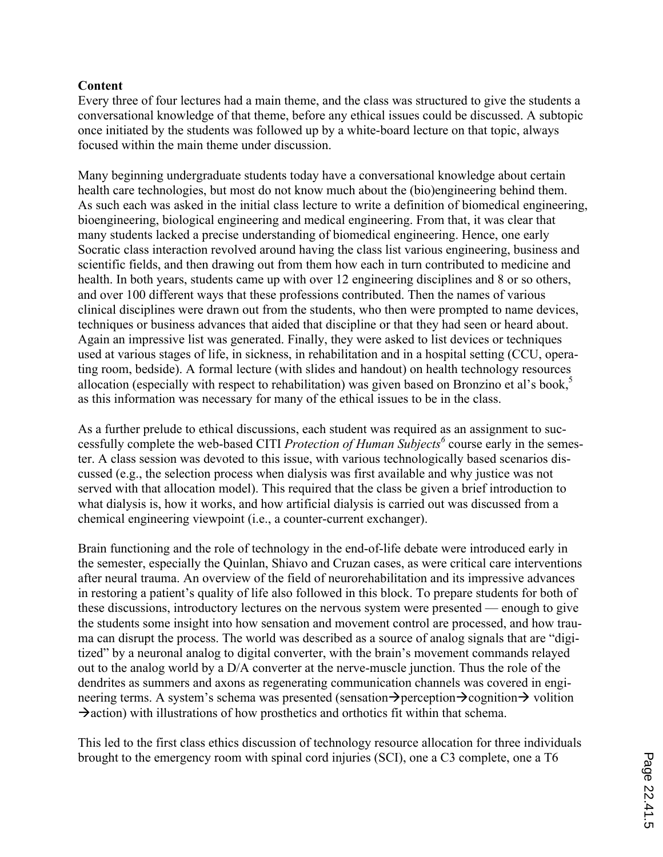# **Content**

Every three of four lectures had a main theme, and the class was structured to give the students a conversational knowledge of that theme, before any ethical issues could be discussed. A subtopic once initiated by the students was followed up by a white-board lecture on that topic, always focused within the main theme under discussion.

Many beginning undergraduate students today have a conversational knowledge about certain health care technologies, but most do not know much about the (bio)engineering behind them. As such each was asked in the initial class lecture to write a definition of biomedical engineering, bioengineering, biological engineering and medical engineering. From that, it was clear that many students lacked a precise understanding of biomedical engineering. Hence, one early Socratic class interaction revolved around having the class list various engineering, business and scientific fields, and then drawing out from them how each in turn contributed to medicine and health. In both years, students came up with over 12 engineering disciplines and 8 or so others, and over 100 different ways that these professions contributed. Then the names of various clinical disciplines were drawn out from the students, who then were prompted to name devices, techniques or business advances that aided that discipline or that they had seen or heard about. Again an impressive list was generated. Finally, they were asked to list devices or techniques used at various stages of life, in sickness, in rehabilitation and in a hospital setting (CCU, operating room, bedside). A formal lecture (with slides and handout) on health technology resources allocation (especially with respect to rehabilitation) was given based on Bronzino et al's book, 5 as this information was necessary for many of the ethical issues to be in the class.

As a further prelude to ethical discussions, each student was required as an assignment to successfully complete the web-based CITI *Protection of Human Subjects<sup>6</sup>* course early in the semester. A class session was devoted to this issue, with various technologically based scenarios discussed (e.g., the selection process when dialysis was first available and why justice was not served with that allocation model). This required that the class be given a brief introduction to what dialysis is, how it works, and how artificial dialysis is carried out was discussed from a chemical engineering viewpoint (i.e., a counter-current exchanger).

Brain functioning and the role of technology in the end-of-life debate were introduced early in the semester, especially the Quinlan, Shiavo and Cruzan cases, as were critical care interventions after neural trauma. An overview of the field of neurorehabilitation and its impressive advances in restoring a patient's quality of life also followed in this block. To prepare students for both of these discussions, introductory lectures on the nervous system were presented — enough to give the students some insight into how sensation and movement control are processed, and how trauma can disrupt the process. The world was described as a source of analog signals that are "digitized" by a neuronal analog to digital converter, with the brain's movement commands relayed out to the analog world by a D/A converter at the nerve-muscle junction. Thus the role of the dendrites as summers and axons as regenerating communication channels was covered in engineering terms. A system's schema was presented (sensation  $\rightarrow$  perception  $\rightarrow$  cognition  $\rightarrow$  volition  $\rightarrow$  action) with illustrations of how prosthetics and orthotics fit within that schema.

This led to the first class ethics discussion of technology resource allocation for three individuals brought to the emergency room with spinal cord injuries (SCI), one a C3 complete, one a T6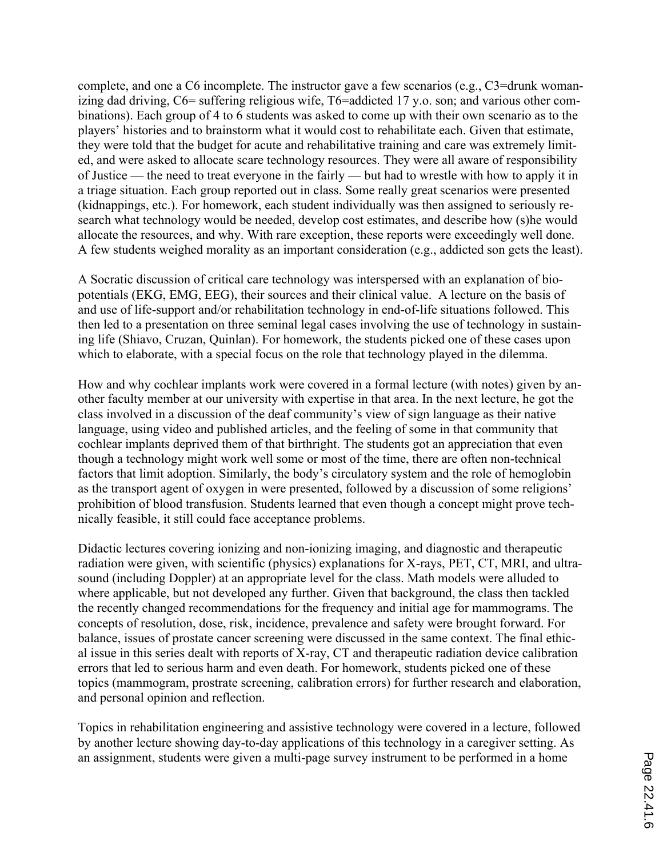complete, and one a C6 incomplete. The instructor gave a few scenarios (e.g.,  $C3 =$ drunk womanizing dad driving, C6= suffering religious wife, T6=addicted 17 y.o. son; and various other combinations). Each group of 4 to 6 students was asked to come up with their own scenario as to the players' histories and to brainstorm what it would cost to rehabilitate each. Given that estimate, they were told that the budget for acute and rehabilitative training and care was extremely limited, and were asked to allocate scare technology resources. They were all aware of responsibility of Justice — the need to treat everyone in the fairly — but had to wrestle with how to apply it in a triage situation. Each group reported out in class. Some really great scenarios were presented (kidnappings, etc.). For homework, each student individually was then assigned to seriously research what technology would be needed, develop cost estimates, and describe how (s)he would allocate the resources, and why. With rare exception, these reports were exceedingly well done. A few students weighed morality as an important consideration (e.g., addicted son gets the least).

A Socratic discussion of critical care technology was interspersed with an explanation of biopotentials (EKG, EMG, EEG), their sources and their clinical value. A lecture on the basis of and use of life-support and/or rehabilitation technology in end-of-life situations followed. This then led to a presentation on three seminal legal cases involving the use of technology in sustaining life (Shiavo, Cruzan, Quinlan). For homework, the students picked one of these cases upon which to elaborate, with a special focus on the role that technology played in the dilemma.

How and why cochlear implants work were covered in a formal lecture (with notes) given by another faculty member at our university with expertise in that area. In the next lecture, he got the class involved in a discussion of the deaf community's view of sign language as their native language, using video and published articles, and the feeling of some in that community that cochlear implants deprived them of that birthright. The students got an appreciation that even though a technology might work well some or most of the time, there are often non-technical factors that limit adoption. Similarly, the body's circulatory system and the role of hemoglobin as the transport agent of oxygen in were presented, followed by a discussion of some religions' prohibition of blood transfusion. Students learned that even though a concept might prove technically feasible, it still could face acceptance problems.

Didactic lectures covering ionizing and non-ionizing imaging, and diagnostic and therapeutic radiation were given, with scientific (physics) explanations for X-rays, PET, CT, MRI, and ultrasound (including Doppler) at an appropriate level for the class. Math models were alluded to where applicable, but not developed any further. Given that background, the class then tackled the recently changed recommendations for the frequency and initial age for mammograms. The concepts of resolution, dose, risk, incidence, prevalence and safety were brought forward. For balance, issues of prostate cancer screening were discussed in the same context. The final ethical issue in this series dealt with reports of X-ray, CT and therapeutic radiation device calibration errors that led to serious harm and even death. For homework, students picked one of these topics (mammogram, prostrate screening, calibration errors) for further research and elaboration, and personal opinion and reflection.

Topics in rehabilitation engineering and assistive technology were covered in a lecture, followed by another lecture showing day-to-day applications of this technology in a caregiver setting. As an assignment, students were given a multi-page survey instrument to be performed in a home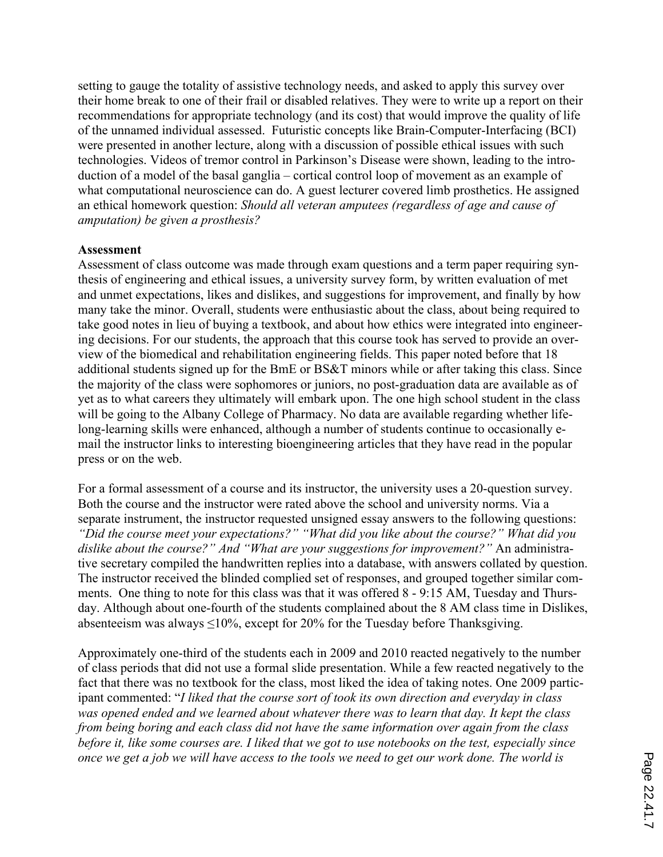setting to gauge the totality of assistive technology needs, and asked to apply this survey over their home break to one of their frail or disabled relatives. They were to write up a report on their recommendations for appropriate technology (and its cost) that would improve the quality of life of the unnamed individual assessed. Futuristic concepts like Brain-Computer-Interfacing (BCI) were presented in another lecture, along with a discussion of possible ethical issues with such technologies. Videos of tremor control in Parkinson's Disease were shown, leading to the introduction of a model of the basal ganglia – cortical control loop of movement as an example of what computational neuroscience can do. A guest lecturer covered limb prosthetics. He assigned an ethical homework question: *Should all veteran amputees (regardless of age and cause of amputation) be given a prosthesis?*

### **Assessment**

Assessment of class outcome was made through exam questions and a term paper requiring synthesis of engineering and ethical issues, a university survey form, by written evaluation of met and unmet expectations, likes and dislikes, and suggestions for improvement, and finally by how many take the minor. Overall, students were enthusiastic about the class, about being required to take good notes in lieu of buying a textbook, and about how ethics were integrated into engineering decisions. For our students, the approach that this course took has served to provide an overview of the biomedical and rehabilitation engineering fields. This paper noted before that 18 additional students signed up for the BmE or BS&T minors while or after taking this class. Since the majority of the class were sophomores or juniors, no post-graduation data are available as of yet as to what careers they ultimately will embark upon. The one high school student in the class will be going to the Albany College of Pharmacy. No data are available regarding whether lifelong-learning skills were enhanced, although a number of students continue to occasionally email the instructor links to interesting bioengineering articles that they have read in the popular press or on the web.

For a formal assessment of a course and its instructor, the university uses a 20-question survey. Both the course and the instructor were rated above the school and university norms. Via a separate instrument, the instructor requested unsigned essay answers to the following questions: *"Did the course meet your expectations?" "What did you like about the course?" What did you dislike about the course?" And "What are your suggestions for improvement?"* An administrative secretary compiled the handwritten replies into a database, with answers collated by question. The instructor received the blinded complied set of responses, and grouped together similar comments. One thing to note for this class was that it was offered 8 - 9:15 AM, Tuesday and Thursday. Although about one-fourth of the students complained about the 8 AM class time in Dislikes, absenteeism was always  $\leq 10\%$ , except for 20% for the Tuesday before Thanksgiving.

Approximately one-third of the students each in 2009 and 2010 reacted negatively to the number of class periods that did not use a formal slide presentation. While a few reacted negatively to the fact that there was no textbook for the class, most liked the idea of taking notes. One 2009 participant commented: "*I liked that the course sort of took its own direction and everyday in class was opened ended and we learned about whatever there was to learn that day. It kept the class from being boring and each class did not have the same information over again from the class before it, like some courses are. I liked that we got to use notebooks on the test, especially since once we get a job we will have access to the tools we need to get our work done. The world is*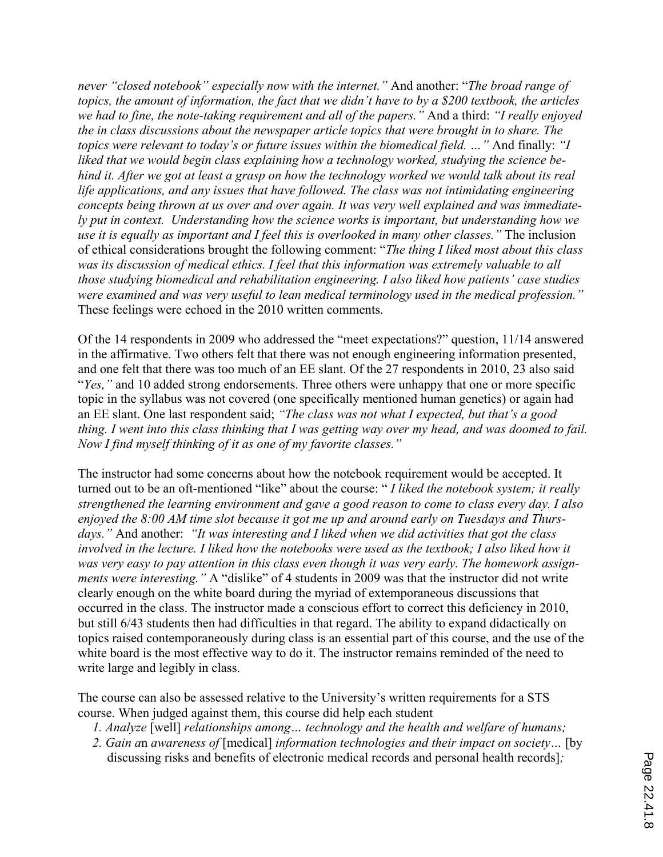*never "closed notebook" especially now with the internet."* And another: "*The broad range of topics, the amount of information, the fact that we didn't have to by a \$200 textbook, the articles we had to fine, the note-taking requirement and all of the papers."* And a third: *"I really enjoyed the in class discussions about the newspaper article topics that were brought in to share. The topics were relevant to today's or future issues within the biomedical field. …"* And finally: *"I liked that we would begin class explaining how a technology worked, studying the science behind it. After we got at least a grasp on how the technology worked we would talk about its real life applications, and any issues that have followed. The class was not intimidating engineering concepts being thrown at us over and over again. It was very well explained and was immediately put in context. Understanding how the science works is important, but understanding how we use it is equally as important and I feel this is overlooked in many other classes."* The inclusion of ethical considerations brought the following comment: "*The thing I liked most about this class was its discussion of medical ethics. I feel that this information was extremely valuable to all those studying biomedical and rehabilitation engineering. I also liked how patients' case studies were examined and was very useful to lean medical terminology used in the medical profession."* These feelings were echoed in the 2010 written comments.

Of the 14 respondents in 2009 who addressed the "meet expectations?" question, 11/14 answered in the affirmative. Two others felt that there was not enough engineering information presented, and one felt that there was too much of an EE slant. Of the 27 respondents in 2010, 23 also said "*Yes,"* and 10 added strong endorsements. Three others were unhappy that one or more specific topic in the syllabus was not covered (one specifically mentioned human genetics) or again had an EE slant. One last respondent said; *"The class was not what I expected, but that's a good thing. I went into this class thinking that I was getting way over my head, and was doomed to fail. Now I find myself thinking of it as one of my favorite classes."*

The instructor had some concerns about how the notebook requirement would be accepted. It turned out to be an oft-mentioned "like" about the course: " *I liked the notebook system; it really strengthened the learning environment and gave a good reason to come to class every day. I also enjoyed the 8:00 AM time slot because it got me up and around early on Tuesdays and Thursdays."* And another: *"It was interesting and I liked when we did activities that got the class involved in the lecture. I liked how the notebooks were used as the textbook; I also liked how it was very easy to pay attention in this class even though it was very early. The homework assignments were interesting."* A "dislike" of 4 students in 2009 was that the instructor did not write clearly enough on the white board during the myriad of extemporaneous discussions that occurred in the class. The instructor made a conscious effort to correct this deficiency in 2010, but still 6/43 students then had difficulties in that regard. The ability to expand didactically on topics raised contemporaneously during class is an essential part of this course, and the use of the white board is the most effective way to do it. The instructor remains reminded of the need to write large and legibly in class.

The course can also be assessed relative to the University's written requirements for a STS course. When judged against them, this course did help each student

- *1. Analyze* [well] *relationships among… technology and the health and welfare of humans;*
- *2. Gain a*n *awareness of* [medical] *information technologies and their impact on society…* [by discussing risks and benefits of electronic medical records and personal health records]*;*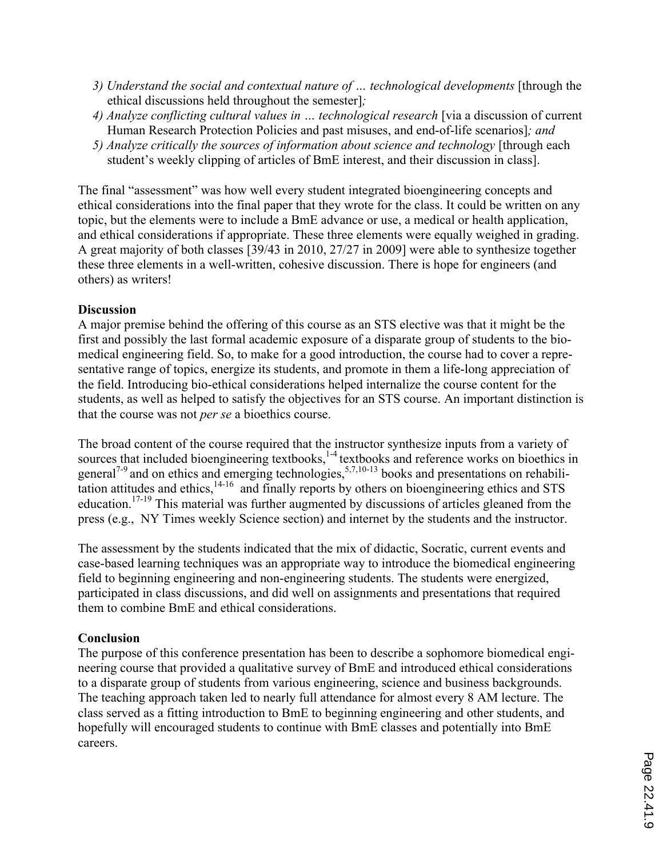- *3) Understand the social and contextual nature of … technological developments* [through the ethical discussions held throughout the semester]*;*
- *4) Analyze conflicting cultural values in … technological research* [via a discussion of current Human Research Protection Policies and past misuses, and end-of-life scenarios]*; and*
- *5) Analyze critically the sources of information about science and technology* [through each student's weekly clipping of articles of BmE interest, and their discussion in class].

The final "assessment" was how well every student integrated bioengineering concepts and ethical considerations into the final paper that they wrote for the class. It could be written on any topic, but the elements were to include a BmE advance or use, a medical or health application, and ethical considerations if appropriate. These three elements were equally weighed in grading. A great majority of both classes [39/43 in 2010, 27/27 in 2009] were able to synthesize together these three elements in a well-written, cohesive discussion. There is hope for engineers (and others) as writers!

## **Discussion**

A major premise behind the offering of this course as an STS elective was that it might be the first and possibly the last formal academic exposure of a disparate group of students to the biomedical engineering field. So, to make for a good introduction, the course had to cover a representative range of topics, energize its students, and promote in them a life-long appreciation of the field. Introducing bio-ethical considerations helped internalize the course content for the students, as well as helped to satisfy the objectives for an STS course. An important distinction is that the course was not *per se* a bioethics course.

The broad content of the course required that the instructor synthesize inputs from a variety of sources that included bioengineering textbooks,<sup>1-4</sup> textbooks and reference works on bioethics in general<sup>7-9</sup> and on ethics and emerging technologies,  $5,7,10-13$  books and presentations on rehabilitation attitudes and ethics,<sup>14-16</sup> and finally reports by others on bioengineering ethics and STS education.17-19 This material was further augmented by discussions of articles gleaned from the press (e.g., NY Times weekly Science section) and internet by the students and the instructor.

The assessment by the students indicated that the mix of didactic, Socratic, current events and case-based learning techniques was an appropriate way to introduce the biomedical engineering field to beginning engineering and non-engineering students. The students were energized, participated in class discussions, and did well on assignments and presentations that required them to combine BmE and ethical considerations.

# **Conclusion**

The purpose of this conference presentation has been to describe a sophomore biomedical engineering course that provided a qualitative survey of BmE and introduced ethical considerations to a disparate group of students from various engineering, science and business backgrounds. The teaching approach taken led to nearly full attendance for almost every 8 AM lecture. The class served as a fitting introduction to BmE to beginning engineering and other students, and hopefully will encouraged students to continue with BmE classes and potentially into BmE careers.